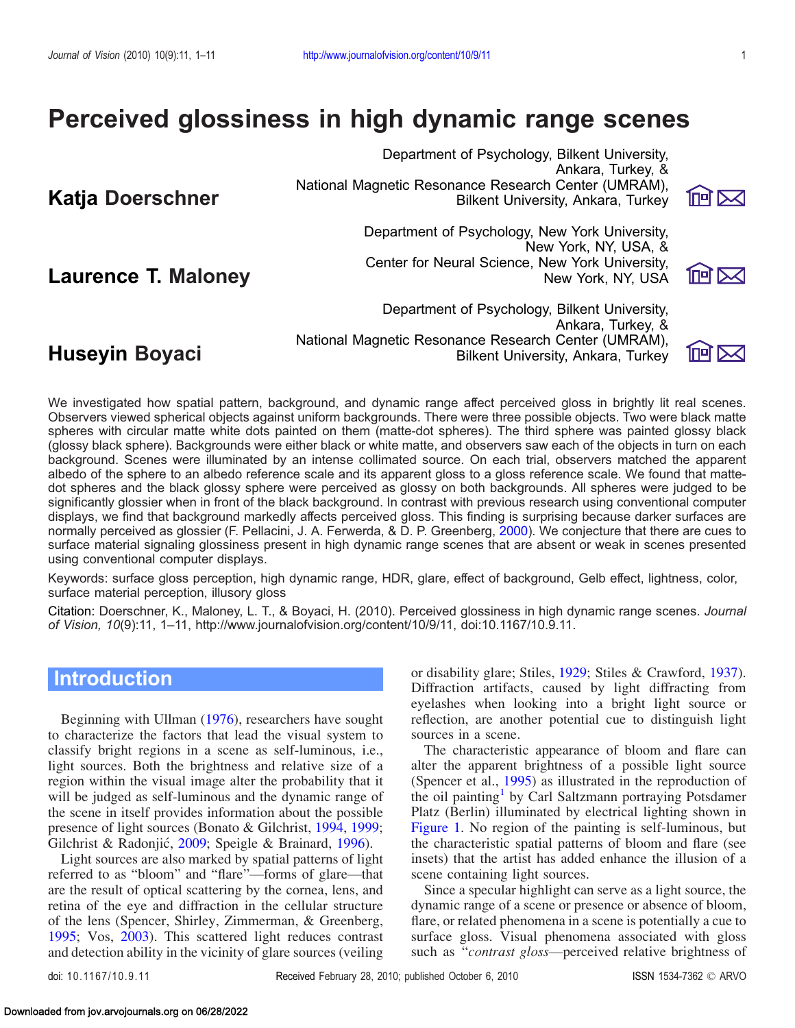# Perceived glossiness in high dynamic range scenes

Department of Psychology, Bilkent University, Ankara, Turkey, & National Magnetic Resonance Research Center (UMRAM), Katja Doerschner **Bilkent University, Ankara, Turkey** 

Department of Psychology, New York University, New York, NY, USA, & Center for Neural Science, New York University, **Laurence T. Maloney Care and Science T. Maloney** 



 $\ln$ ने $\times$ त

 $\ln\log\frac{1}{100}$ 

阿冈

Department of Psychology, Bilkent University, Ankara, Turkey, & National Magnetic Resonance Research Center (UMRAM), **Huseyin Boyaci Bilkent University, Ankara, Turkey** 

We investigated how spatial pattern, background, and dynamic range affect perceived gloss in brightly lit real scenes. Observers viewed spherical objects against uniform backgrounds. There were three possible objects. Two were black matte spheres with circular matte white dots painted on them (matte-dot spheres). The third sphere was painted glossy black (glossy black sphere). Backgrounds were either black or white matte, and observers saw each of the objects in turn on each background. Scenes were illuminated by an intense collimated source. On each trial, observers matched the apparent albedo of the sphere to an albedo reference scale and its apparent gloss to a gloss reference scale. We found that mattedot spheres and the black glossy sphere were perceived as glossy on both backgrounds. All spheres were judged to be significantly glossier when in front of the black background. In contrast with previous research using conventional computer displays, we find that background markedly affects perceived gloss. This finding is surprising because darker surfaces are normally perceived as glossier (F. Pellacini, J. A. Ferwerda, & D. P. Greenberg, [2000\)](#page-10-0). We conjecture that there are cues to surface material signaling glossiness present in high dynamic range scenes that are absent or weak in scenes presented using conventional computer displays.

Keywords: surface gloss perception, high dynamic range, HDR, glare, effect of background, Gelb effect, lightness, color, surface material perception, illusory gloss

Citation: Doerschner, K., Maloney, L. T., & Boyaci, H. (2010). Perceived glossiness in high dynamic range scenes. Journal of Vision, 10(9):11, 1*–*11, http://www.journalofvision.org/content/10/9/11, doi:10.1167/10.9.11.

## **Introduction**

Beginning with Ullman [\(1976](#page-10-0)), researchers have sought to characterize the factors that lead the visual system to classify bright regions in a scene as self-luminous, i.e., light sources. Both the brightness and relative size of a region within the visual image alter the probability that it will be judged as self-luminous and the dynamic range of the scene in itself provides information about the possible presence of light sources (Bonato & Gilchrist, [1994,](#page-9-0) [1999](#page-9-0); Gilchrist & Radonjić, [2009](#page-9-0); Speigle & Brainard, [1996](#page-10-0)).

Light sources are also marked by spatial patterns of light referred to as "bloom" and "flare"—forms of glare—that are the result of optical scattering by the cornea, lens, and retina of the eye and diffraction in the cellular structure of the lens (Spencer, Shirley, Zimmerman, & Greenberg, [1995;](#page-10-0) Vos, [2003\)](#page-10-0). This scattered light reduces contrast and detection ability in the vicinity of glare sources (veiling

or disability glare; Stiles, [1929](#page-10-0); Stiles & Crawford, [1937\)](#page-10-0). Diffraction artifacts, caused by light diffracting from eyelashes when looking into a bright light source or reflection, are another potential cue to distinguish light sources in a scene.

The characteristic appearance of bloom and flare can alter the apparent brightness of a possible light source (Spencer et al., [1995\)](#page-10-0) as illustrated in the reproduction of the oil painting<sup>[1](#page-9-0)</sup> by Carl Saltzmann portraying Potsdamer Platz (Berlin) illuminated by electrical lighting shown in [Figure 1.](#page-1-0) No region of the painting is self-luminous, but the characteristic spatial patterns of bloom and flare (see insets) that the artist has added enhance the illusion of a scene containing light sources.

Since a specular highlight can serve as a light source, the dynamic range of a scene or presence or absence of bloom, flare, or related phenomena in a scene is potentially a cue to surface gloss. Visual phenomena associated with gloss such as "*contrast gloss*—perceived relative brightness of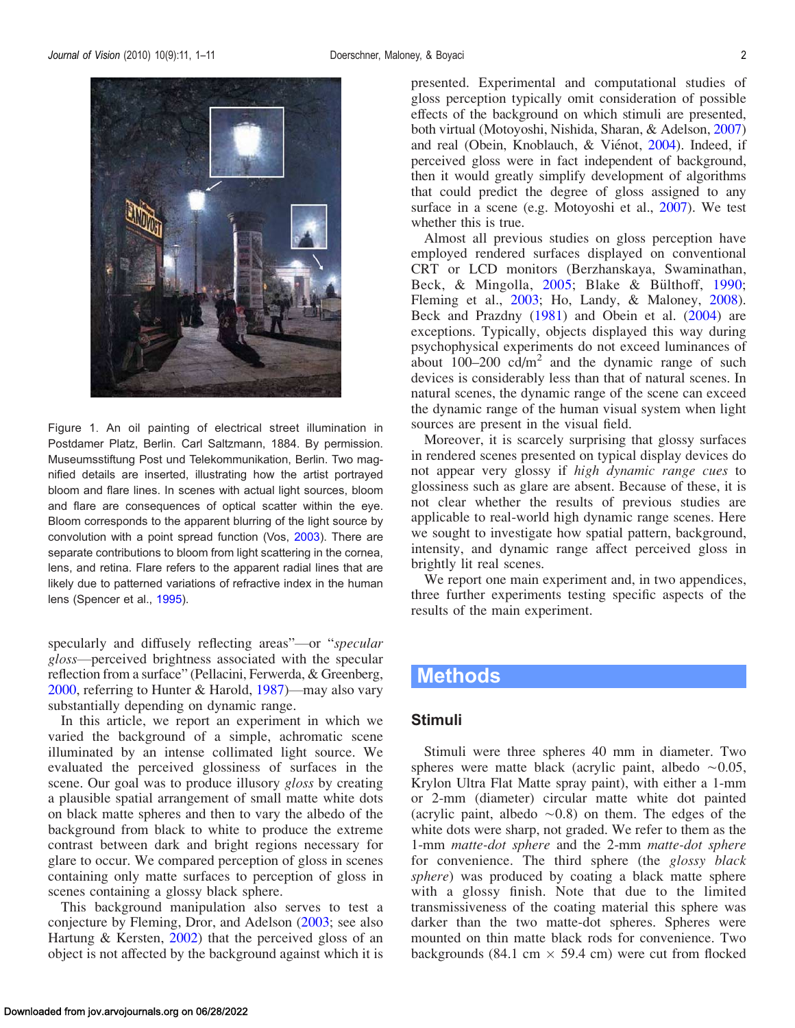<span id="page-1-0"></span>

Figure 1. An oil painting of electrical street illumination in Postdamer Platz, Berlin. Carl Saltzmann, 1884. By permission. Museumsstiftung Post und Telekommunikation, Berlin. Two magnified details are inserted, illustrating how the artist portrayed bloom and flare lines. In scenes with actual light sources, bloom and flare are consequences of optical scatter within the eye. Bloom corresponds to the apparent blurring of the light source by convolution with a point spread function (Vos, [2003\)](#page-10-0). There are separate contributions to bloom from light scattering in the cornea, lens, and retina. Flare refers to the apparent radial lines that are likely due to patterned variations of refractive index in the human lens (Spencer et al., [1995](#page-10-0)).

specularly and diffusely reflecting areas"—or "*specular* gloss—perceived brightness associated with the specular reflection from a surface" (Pellacini, Ferwerda, & Greenberg, [2000,](#page-10-0) referring to Hunter & Harold,  $1987$ —may also vary substantially depending on dynamic range.

In this article, we report an experiment in which we varied the background of a simple, achromatic scene illuminated by an intense collimated light source. We evaluated the perceived glossiness of surfaces in the scene. Our goal was to produce illusory *gloss* by creating a plausible spatial arrangement of small matte white dots on black matte spheres and then to vary the albedo of the background from black to white to produce the extreme contrast between dark and bright regions necessary for glare to occur. We compared perception of gloss in scenes containing only matte surfaces to perception of gloss in scenes containing a glossy black sphere.

This background manipulation also serves to test a conjecture by Fleming, Dror, and Adelson [\(2003;](#page-9-0) see also Hartung & Kersten, [2002](#page-9-0)) that the perceived gloss of an object is not affected by the background against which it is

presented. Experimental and computational studies of gloss perception typically omit consideration of possible effects of the background on which stimuli are presented, both virtual (Motoyoshi, Nishida, Sharan, & Adelson, [2007](#page-9-0)) and real (Obein, Knoblauch, & Viénot, [2004\)](#page-10-0). Indeed, if perceived gloss were in fact independent of background, then it would greatly simplify development of algorithms that could predict the degree of gloss assigned to any surface in a scene (e.g. Motoyoshi et al., [2007\)](#page-9-0). We test whether this is true.

Almost all previous studies on gloss perception have employed rendered surfaces displayed on conventional CRT or LCD monitors (Berzhanskaya, Swaminathan, Beck, & Mingolla,  $2005$ ; Blake & Bülthoff, [1990;](#page-9-0) Fleming et al., [2003](#page-9-0); Ho, Landy, & Maloney, [2008\)](#page-9-0). Beck and Prazdny ([1981\)](#page-9-0) and Obein et al. [\(2004](#page-10-0)) are exceptions. Typically, objects displayed this way during psychophysical experiments do not exceed luminances of about  $100-200$  cd/m<sup>2</sup> and the dynamic range of such devices is considerably less than that of natural scenes. In natural scenes, the dynamic range of the scene can exceed the dynamic range of the human visual system when light sources are present in the visual field.

Moreover, it is scarcely surprising that glossy surfaces in rendered scenes presented on typical display devices do not appear very glossy if high dynamic range cues to glossiness such as glare are absent. Because of these, it is not clear whether the results of previous studies are applicable to real-world high dynamic range scenes. Here we sought to investigate how spatial pattern, background, intensity, and dynamic range affect perceived gloss in brightly lit real scenes.

We report one main experiment and, in two appendices, three further experiments testing specific aspects of the results of the main experiment.

## Methods

### Stimuli

Stimuli were three spheres 40 mm in diameter. Two spheres were matte black (acrylic paint, albedo  $\sim 0.05$ , Krylon Ultra Flat Matte spray paint), with either a 1-mm or 2-mm (diameter) circular matte white dot painted (acrylic paint, albedo  $\sim 0.8$ ) on them. The edges of the white dots were sharp, not graded. We refer to them as the 1-mm matte-dot sphere and the 2-mm matte-dot sphere for convenience. The third sphere (the *glossy black* sphere) was produced by coating a black matte sphere with a glossy finish. Note that due to the limited transmissiveness of the coating material this sphere was darker than the two matte-dot spheres. Spheres were mounted on thin matte black rods for convenience. Two backgrounds (84.1 cm  $\times$  59.4 cm) were cut from flocked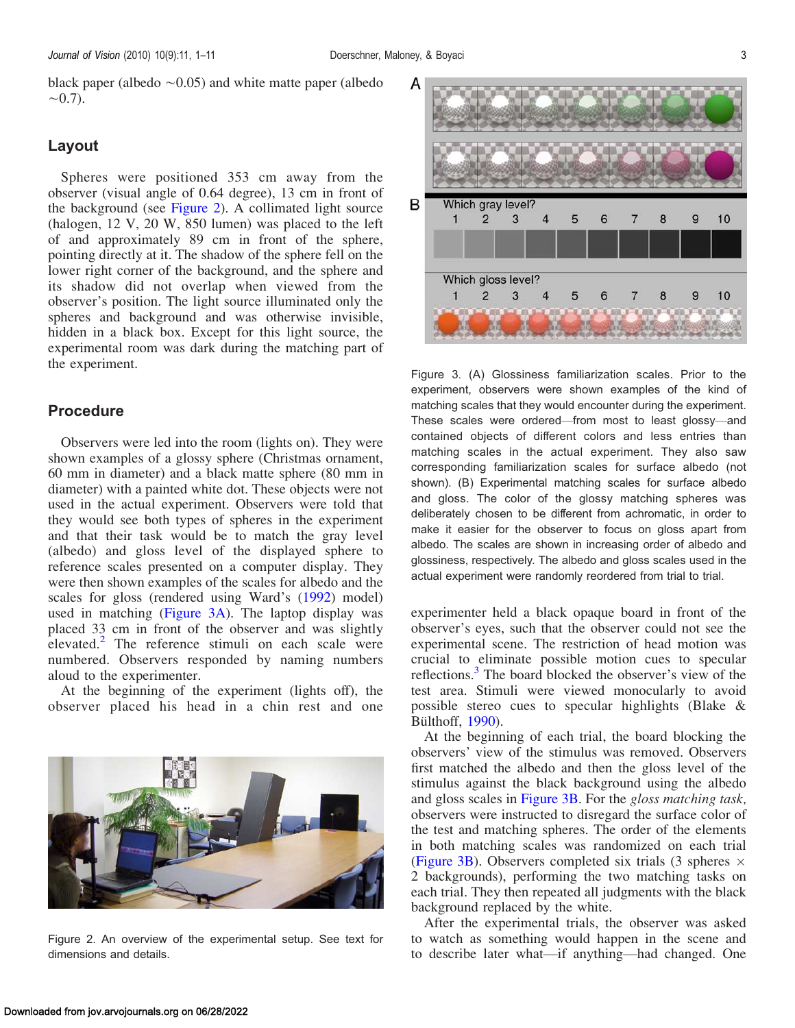black paper (albedo  $\sim$  0.05) and white matte paper (albedo  $\sim 0.7$ ).

#### Layout

Spheres were positioned 353 cm away from the observer (visual angle of 0.64 degree), 13 cm in front of the background (see Figure 2). A collimated light source (halogen, 12 V, 20 W, 850 lumen) was placed to the left of and approximately 89 cm in front of the sphere, pointing directly at it. The shadow of the sphere fell on the lower right corner of the background, and the sphere and its shadow did not overlap when viewed from the observer's position. The light source illuminated only the spheres and background and was otherwise invisible, hidden in a black box. Except for this light source, the experimental room was dark during the matching part of the experiment.

#### **Procedure**

Observers were led into the room (lights on). They were shown examples of a glossy sphere (Christmas ornament, 60 mm in diameter) and a black matte sphere (80 mm in diameter) with a painted white dot. These objects were not used in the actual experiment. Observers were told that they would see both types of spheres in the experiment and that their task would be to match the gray level (albedo) and gloss level of the displayed sphere to reference scales presented on a computer display. They were then shown examples of the scales for albedo and the scales for gloss (rendered using Ward's [\(1992\)](#page-10-0) model) used in matching (Figure 3A). The laptop display was placed 33 cm in front of the observer and was slightly elevated.<sup>[2](#page-9-0)</sup> The reference stimuli on each scale were numbered. Observers responded by naming numbers aloud to the experimenter.

At the beginning of the experiment (lights off), the observer placed his head in a chin rest and one



Figure 2. An overview of the experimental setup. See text for dimensions and details.



Figure 3. (A) Glossiness familiarization scales. Prior to the experiment, observers were shown examples of the kind of matching scales that they would encounter during the experiment. These scales were ordered—from most to least glossy—and contained objects of different colors and less entries than matching scales in the actual experiment. They also saw corresponding familiarization scales for surface albedo (not shown). (B) Experimental matching scales for surface albedo and gloss. The color of the glossy matching spheres was deliberately chosen to be different from achromatic, in order to make it easier for the observer to focus on gloss apart from albedo. The scales are shown in increasing order of albedo and glossiness, respectively. The albedo and gloss scales used in the actual experiment were randomly reordered from trial to trial.

experimenter held a black opaque board in front of the observer's eyes, such that the observer could not see the experimental scene. The restriction of head motion was crucial to eliminate possible motion cues to specular reflections.<sup>[3](#page-9-0)</sup> The board blocked the observer's view of the test area. Stimuli were viewed monocularly to avoid possible stereo cues to specular highlights (Blake & Bülthoff, [1990\)](#page-9-0).

At the beginning of each trial, the board blocking the observers' view of the stimulus was removed. Observers first matched the albedo and then the gloss level of the stimulus against the black background using the albedo and gloss scales in Figure 3B. For the gloss matching task, observers were instructed to disregard the surface color of the test and matching spheres. The order of the elements in both matching scales was randomized on each trial (Figure 3B). Observers completed six trials (3 spheres  $\times$ 2 backgrounds), performing the two matching tasks on each trial. They then repeated all judgments with the black background replaced by the white.

After the experimental trials, the observer was asked to watch as something would happen in the scene and to describe later what—if anything—had changed. One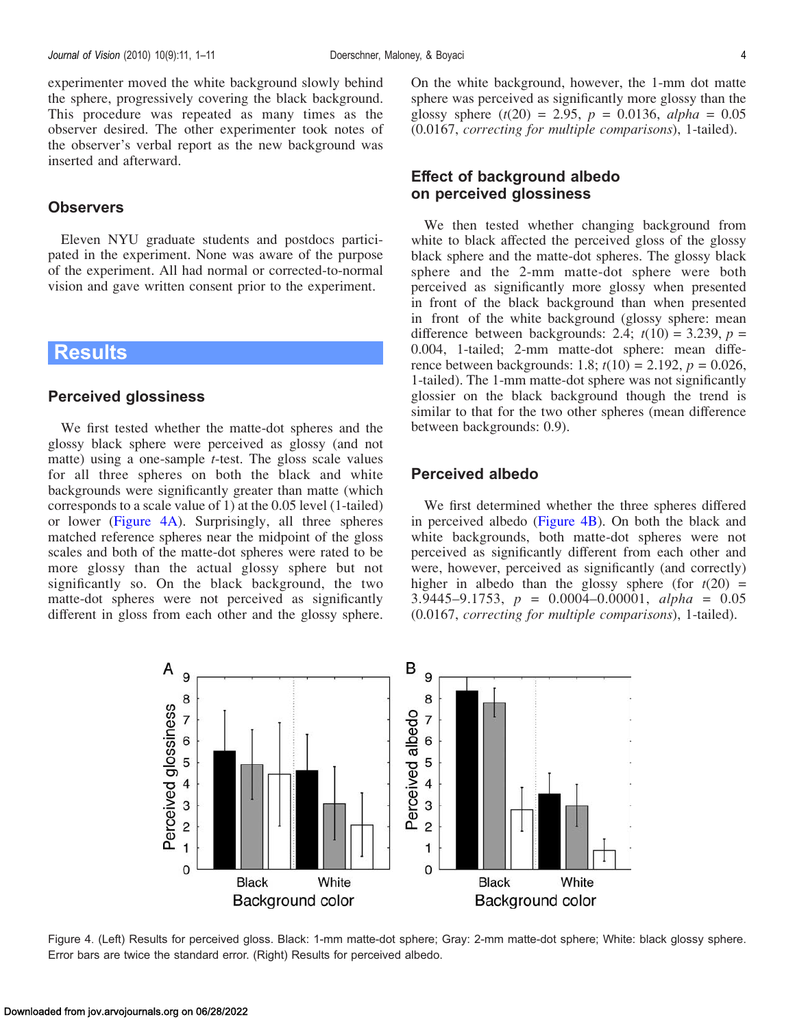<span id="page-3-0"></span>experimenter moved the white background slowly behind the sphere, progressively covering the black background. This procedure was repeated as many times as the observer desired. The other experimenter took notes of the observer's verbal report as the new background was inserted and afterward.

#### **Observers**

Eleven NYU graduate students and postdocs participated in the experiment. None was aware of the purpose of the experiment. All had normal or corrected-to-normal vision and gave written consent prior to the experiment.

## **Results**

#### Perceived glossiness

We first tested whether the matte-dot spheres and the glossy black sphere were perceived as glossy (and not matte) using a one-sample *t*-test. The gloss scale values for all three spheres on both the black and white backgrounds were significantly greater than matte (which corresponds to a scale value of 1) at the 0.05 level (1-tailed) or lower (Figure 4A). Surprisingly, all three spheres matched reference spheres near the midpoint of the gloss scales and both of the matte-dot spheres were rated to be more glossy than the actual glossy sphere but not significantly so. On the black background, the two matte-dot spheres were not perceived as significantly different in gloss from each other and the glossy sphere.

## Effect of background albedo on perceived glossiness

We then tested whether changing background from white to black affected the perceived gloss of the glossy black sphere and the matte-dot spheres. The glossy black sphere and the 2-mm matte-dot sphere were both perceived as significantly more glossy when presented in front of the black background than when presented in front of the white background (glossy sphere: mean difference between backgrounds: 2.4;  $t(10) = 3.239$ ,  $p =$ 0.004, 1-tailed; 2-mm matte-dot sphere: mean difference between backgrounds: 1.8;  $t(10) = 2.192$ ,  $p = 0.026$ , 1-tailed). The 1-mm matte-dot sphere was not significantly glossier on the black background though the trend is similar to that for the two other spheres (mean difference between backgrounds: 0.9).

#### Perceived albedo

We first determined whether the three spheres differed in perceived albedo (Figure 4B). On both the black and white backgrounds, both matte-dot spheres were not perceived as significantly different from each other and were, however, perceived as significantly (and correctly) higher in albedo than the glossy sphere (for  $t(20)$  = 3.9445–9.1753,  $p = 0.0004$ –0.00001, alpha = 0.05 (0.0167, correcting for multiple comparisons), 1-tailed).



Figure 4. (Left) Results for perceived gloss. Black: 1-mm matte-dot sphere; Gray: 2-mm matte-dot sphere; White: black glossy sphere. Error bars are twice the standard error. (Right) Results for perceived albedo.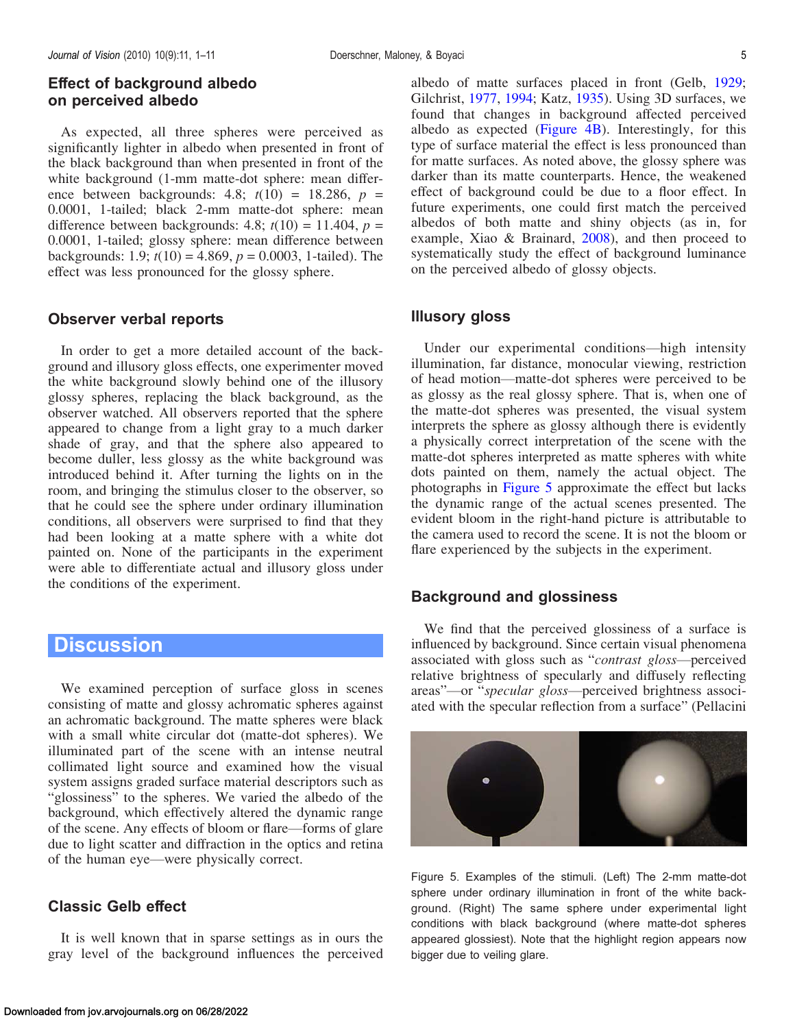As expected, all three spheres were perceived as significantly lighter in albedo when presented in front of the black background than when presented in front of the white background (1-mm matte-dot sphere: mean difference between backgrounds: 4.8;  $t(10) = 18.286$ ,  $p =$ 0.0001, 1-tailed; black 2-mm matte-dot sphere: mean difference between backgrounds: 4.8;  $t(10) = 11.404$ ,  $p =$ 0.0001, 1-tailed; glossy sphere: mean difference between backgrounds: 1.9;  $t(10) = 4.869$ ,  $p = 0.0003$ , 1-tailed). The effect was less pronounced for the glossy sphere.

#### Observer verbal reports

In order to get a more detailed account of the background and illusory gloss effects, one experimenter moved the white background slowly behind one of the illusory glossy spheres, replacing the black background, as the observer watched. All observers reported that the sphere appeared to change from a light gray to a much darker shade of gray, and that the sphere also appeared to become duller, less glossy as the white background was introduced behind it. After turning the lights on in the room, and bringing the stimulus closer to the observer, so that he could see the sphere under ordinary illumination conditions, all observers were surprised to find that they had been looking at a matte sphere with a white dot painted on. None of the participants in the experiment were able to differentiate actual and illusory gloss under the conditions of the experiment.

## **Discussion**

We examined perception of surface gloss in scenes consisting of matte and glossy achromatic spheres against an achromatic background. The matte spheres were black with a small white circular dot (matte-dot spheres). We illuminated part of the scene with an intense neutral collimated light source and examined how the visual system assigns graded surface material descriptors such as "glossiness" to the spheres. We varied the albedo of the background, which effectively altered the dynamic range of the scene. Any effects of bloom or flare—forms of glare due to light scatter and diffraction in the optics and retina of the human eye—were physically correct.

## Classic Gelb effect

It is well known that in sparse settings as in ours the gray level of the background influences the perceived albedo of matte surfaces placed in front (Gelb, [1929;](#page-9-0) Gilchrist, [1977,](#page-9-0) [1994;](#page-9-0) Katz, [1935](#page-9-0)). Using 3D surfaces, we found that changes in background affected perceived albedo as expected [\(Figure 4B\)](#page-3-0). Interestingly, for this type of surface material the effect is less pronounced than for matte surfaces. As noted above, the glossy sphere was darker than its matte counterparts. Hence, the weakened effect of background could be due to a floor effect. In future experiments, one could first match the perceived albedos of both matte and shiny objects (as in, for example, Xiao & Brainard, [2008](#page-10-0)), and then proceed to systematically study the effect of background luminance on the perceived albedo of glossy objects.

### Illusory gloss

Under our experimental conditions—high intensity illumination, far distance, monocular viewing, restriction of head motion—matte-dot spheres were perceived to be as glossy as the real glossy sphere. That is, when one of the matte-dot spheres was presented, the visual system interprets the sphere as glossy although there is evidently a physically correct interpretation of the scene with the matte-dot spheres interpreted as matte spheres with white dots painted on them, namely the actual object. The photographs in Figure 5 approximate the effect but lacks the dynamic range of the actual scenes presented. The evident bloom in the right-hand picture is attributable to the camera used to record the scene. It is not the bloom or flare experienced by the subjects in the experiment.

#### Background and glossiness

We find that the perceived glossiness of a surface is influenced by background. Since certain visual phenomena associated with gloss such as "contrast gloss-perceived relative brightness of specularly and diffusely reflecting areas"—or "specular gloss—perceived brightness associated with the specular reflection from a surface" (Pellacini



Figure 5. Examples of the stimuli. (Left) The 2-mm matte-dot sphere under ordinary illumination in front of the white background. (Right) The same sphere under experimental light conditions with black background (where matte-dot spheres appeared glossiest). Note that the highlight region appears now bigger due to veiling glare.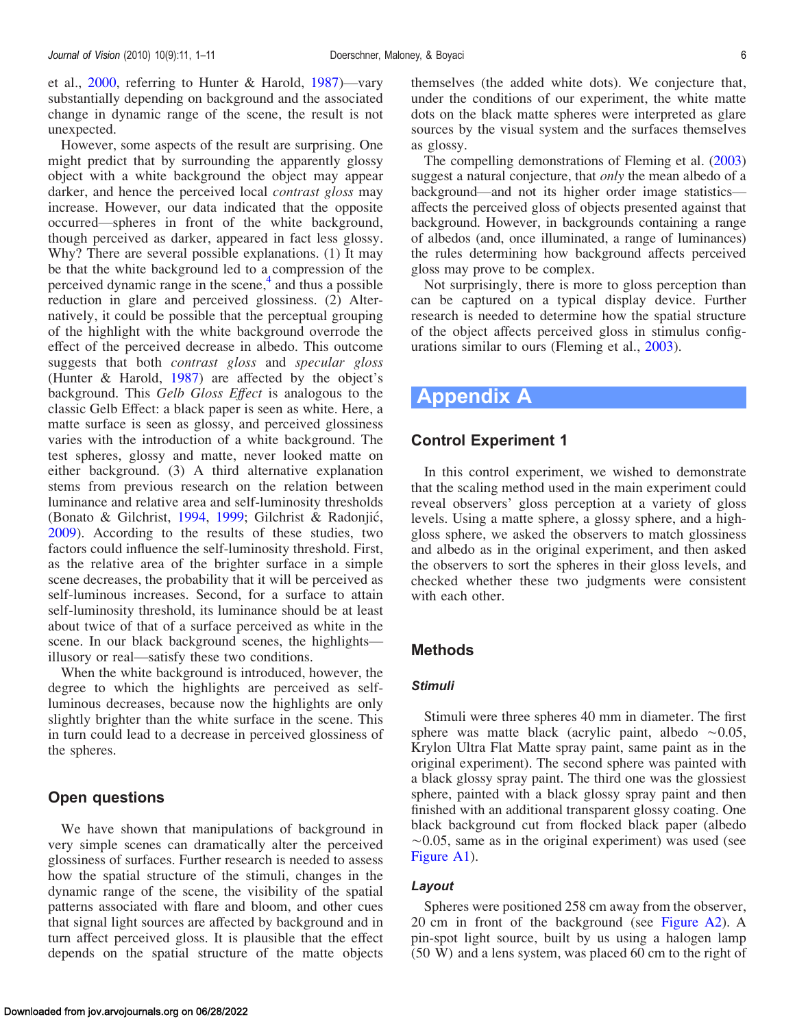<span id="page-5-0"></span>et al., [2000,](#page-10-0) referring to Hunter & Harold,  $1987$ )—vary substantially depending on background and the associated change in dynamic range of the scene, the result is not unexpected.

However, some aspects of the result are surprising. One might predict that by surrounding the apparently glossy object with a white background the object may appear darker, and hence the perceived local *contrast gloss* may increase. However, our data indicated that the opposite occurred—spheres in front of the white background, though perceived as darker, appeared in fact less glossy. Why? There are several possible explanations. (1) It may be that the white background led to a compression of the perceived dynamic range in the scene, $4$  and thus a possible reduction in glare and perceived glossiness. (2) Alternatively, it could be possible that the perceptual grouping of the highlight with the white background overrode the effect of the perceived decrease in albedo. This outcome suggests that both contrast gloss and specular gloss (Hunter & Harold, [1987](#page-9-0)) are affected by the object's background. This Gelb Gloss Effect is analogous to the classic Gelb Effect: a black paper is seen as white. Here, a matte surface is seen as glossy, and perceived glossiness varies with the introduction of a white background. The test spheres, glossy and matte, never looked matte on either background. (3) A third alternative explanation stems from previous research on the relation between luminance and relative area and self-luminosity thresholds (Bonato & Gilchrist, [1994,](#page-9-0) [1999](#page-9-0); Gilchrist & Radonjic´, [2009\)](#page-9-0). According to the results of these studies, two factors could influence the self-luminosity threshold. First, as the relative area of the brighter surface in a simple scene decreases, the probability that it will be perceived as self-luminous increases. Second, for a surface to attain self-luminosity threshold, its luminance should be at least about twice of that of a surface perceived as white in the scene. In our black background scenes, the highlightsillusory or real—satisfy these two conditions.

When the white background is introduced, however, the degree to which the highlights are perceived as selfluminous decreases, because now the highlights are only slightly brighter than the white surface in the scene. This in turn could lead to a decrease in perceived glossiness of the spheres.

#### Open questions

We have shown that manipulations of background in very simple scenes can dramatically alter the perceived glossiness of surfaces. Further research is needed to assess how the spatial structure of the stimuli, changes in the dynamic range of the scene, the visibility of the spatial patterns associated with flare and bloom, and other cues that signal light sources are affected by background and in turn affect perceived gloss. It is plausible that the effect depends on the spatial structure of the matte objects

themselves (the added white dots). We conjecture that, under the conditions of our experiment, the white matte dots on the black matte spheres were interpreted as glare sources by the visual system and the surfaces themselves as glossy.

The compelling demonstrations of Fleming et al. ([2003](#page-9-0)) suggest a natural conjecture, that *only* the mean albedo of a background—and not its higher order image statistics affects the perceived gloss of objects presented against that background. However, in backgrounds containing a range of albedos (and, once illuminated, a range of luminances) the rules determining how background affects perceived gloss may prove to be complex.

Not surprisingly, there is more to gloss perception than can be captured on a typical display device. Further research is needed to determine how the spatial structure of the object affects perceived gloss in stimulus configurations similar to ours (Fleming et al., [2003\)](#page-9-0).

## Appendix A

#### Control Experiment 1

In this control experiment, we wished to demonstrate that the scaling method used in the main experiment could reveal observers' gloss perception at a variety of gloss levels. Using a matte sphere, a glossy sphere, and a highgloss sphere, we asked the observers to match glossiness and albedo as in the original experiment, and then asked the observers to sort the spheres in their gloss levels, and checked whether these two judgments were consistent with each other.

#### Methods

#### Stimuli

Stimuli were three spheres 40 mm in diameter. The first sphere was matte black (acrylic paint, albedo  $\sim 0.05$ , Krylon Ultra Flat Matte spray paint, same paint as in the original experiment). The second sphere was painted with a black glossy spray paint. The third one was the glossiest sphere, painted with a black glossy spray paint and then finished with an additional transparent glossy coating. One black background cut from flocked black paper (albedo  $\sim$ 0.05, same as in the original experiment) was used (see [Figure A1](#page-6-0)).

#### Layout

Spheres were positioned 258 cm away from the observer, 20 cm in front of the background (see [Figure A2](#page-6-0)). A pin-spot light source, built by us using a halogen lamp (50 W) and a lens system, was placed 60 cm to the right of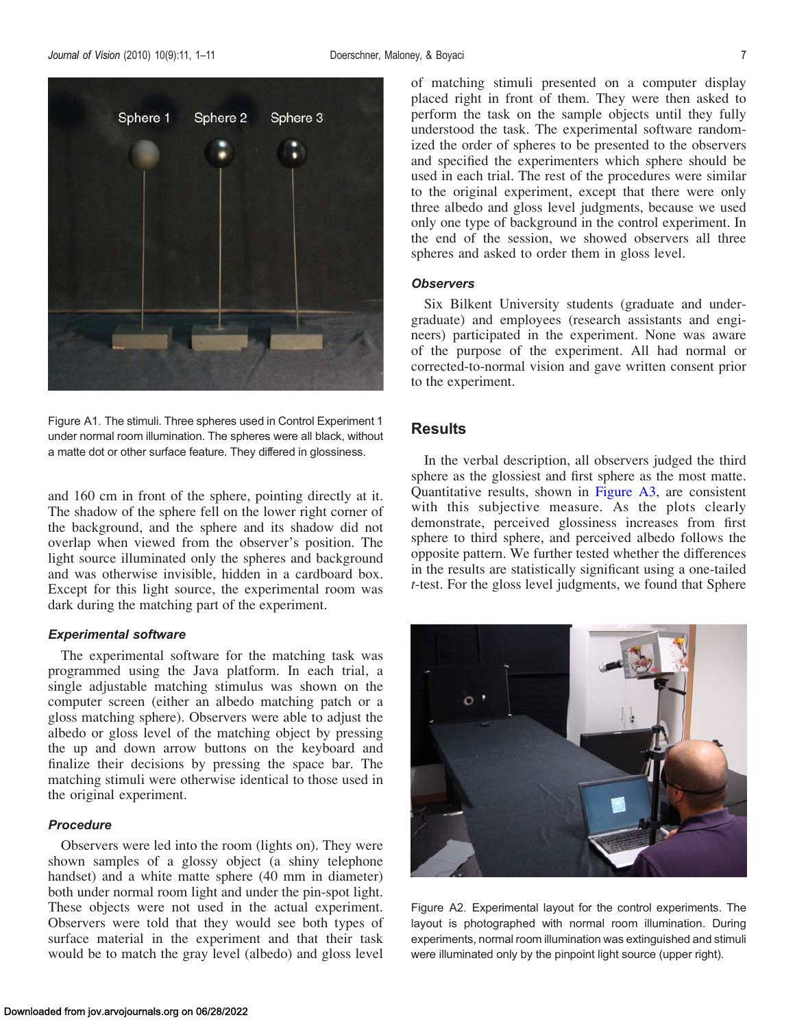<span id="page-6-0"></span>

Figure A1. The stimuli. Three spheres used in Control Experiment 1 under normal room illumination. The spheres were all black, without a matte dot or other surface feature. They differed in glossiness.

and 160 cm in front of the sphere, pointing directly at it. The shadow of the sphere fell on the lower right corner of the background, and the sphere and its shadow did not overlap when viewed from the observer's position. The light source illuminated only the spheres and background and was otherwise invisible, hidden in a cardboard box. Except for this light source, the experimental room was dark during the matching part of the experiment.

#### Experimental software

The experimental software for the matching task was programmed using the Java platform. In each trial, a single adjustable matching stimulus was shown on the computer screen (either an albedo matching patch or a gloss matching sphere). Observers were able to adjust the albedo or gloss level of the matching object by pressing the up and down arrow buttons on the keyboard and finalize their decisions by pressing the space bar. The matching stimuli were otherwise identical to those used in the original experiment.

#### Procedure

Observers were led into the room (lights on). They were shown samples of a glossy object (a shiny telephone handset) and a white matte sphere (40 mm in diameter) both under normal room light and under the pin-spot light. These objects were not used in the actual experiment. Observers were told that they would see both types of surface material in the experiment and that their task would be to match the gray level (albedo) and gloss level of matching stimuli presented on a computer display placed right in front of them. They were then asked to perform the task on the sample objects until they fully understood the task. The experimental software randomized the order of spheres to be presented to the observers and specified the experimenters which sphere should be used in each trial. The rest of the procedures were similar to the original experiment, except that there were only three albedo and gloss level judgments, because we used only one type of background in the control experiment. In the end of the session, we showed observers all three spheres and asked to order them in gloss level.

#### **Observers**

Six Bilkent University students (graduate and undergraduate) and employees (research assistants and engineers) participated in the experiment. None was aware of the purpose of the experiment. All had normal or corrected-to-normal vision and gave written consent prior to the experiment.

#### Results

In the verbal description, all observers judged the third sphere as the glossiest and first sphere as the most matte. Quantitative results, shown in [Figure A3](#page-7-0), are consistent with this subjective measure. As the plots clearly demonstrate, perceived glossiness increases from first sphere to third sphere, and perceived albedo follows the opposite pattern. We further tested whether the differences in the results are statistically significant using a one-tailed t-test. For the gloss level judgments, we found that Sphere



Figure A2. Experimental layout for the control experiments. The layout is photographed with normal room illumination. During experiments, normal room illumination was extinguished and stimuli were illuminated only by the pinpoint light source (upper right).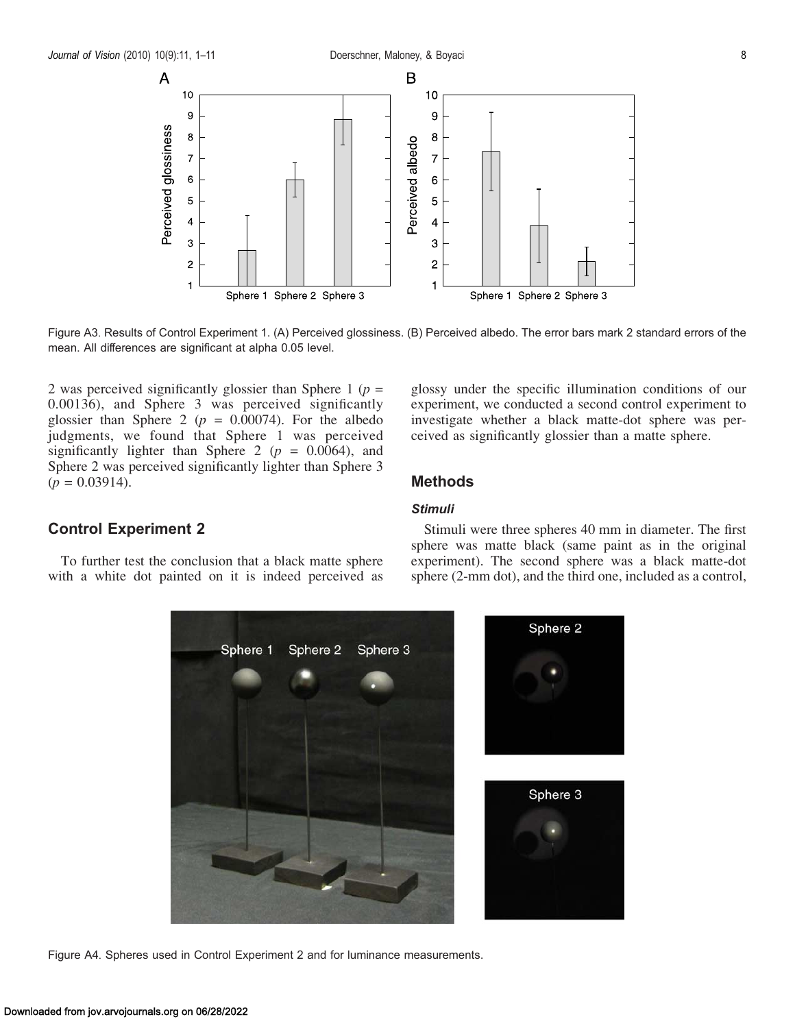<span id="page-7-0"></span>

Figure A3. Results of Control Experiment 1. (A) Perceived glossiness. (B) Perceived albedo. The error bars mark 2 standard errors of the mean. All differences are significant at alpha 0.05 level.

2 was perceived significantly glossier than Sphere 1 ( $p =$ 0.00136), and Sphere 3 was perceived significantly glossier than Sphere 2 ( $p = 0.00074$ ). For the albedo judgments, we found that Sphere 1 was perceived significantly lighter than Sphere 2 ( $p = 0.0064$ ), and Sphere 2 was perceived significantly lighter than Sphere 3  $(p = 0.03914)$ .

glossy under the specific illumination conditions of our experiment, we conducted a second control experiment to investigate whether a black matte-dot sphere was perceived as significantly glossier than a matte sphere.

#### Methods

#### Stimuli

### Control Experiment 2

To further test the conclusion that a black matte sphere with a white dot painted on it is indeed perceived as

Stimuli were three spheres 40 mm in diameter. The first sphere was matte black (same paint as in the original experiment). The second sphere was a black matte-dot sphere (2-mm dot), and the third one, included as a control,



Figure A4. Spheres used in Control Experiment 2 and for luminance measurements.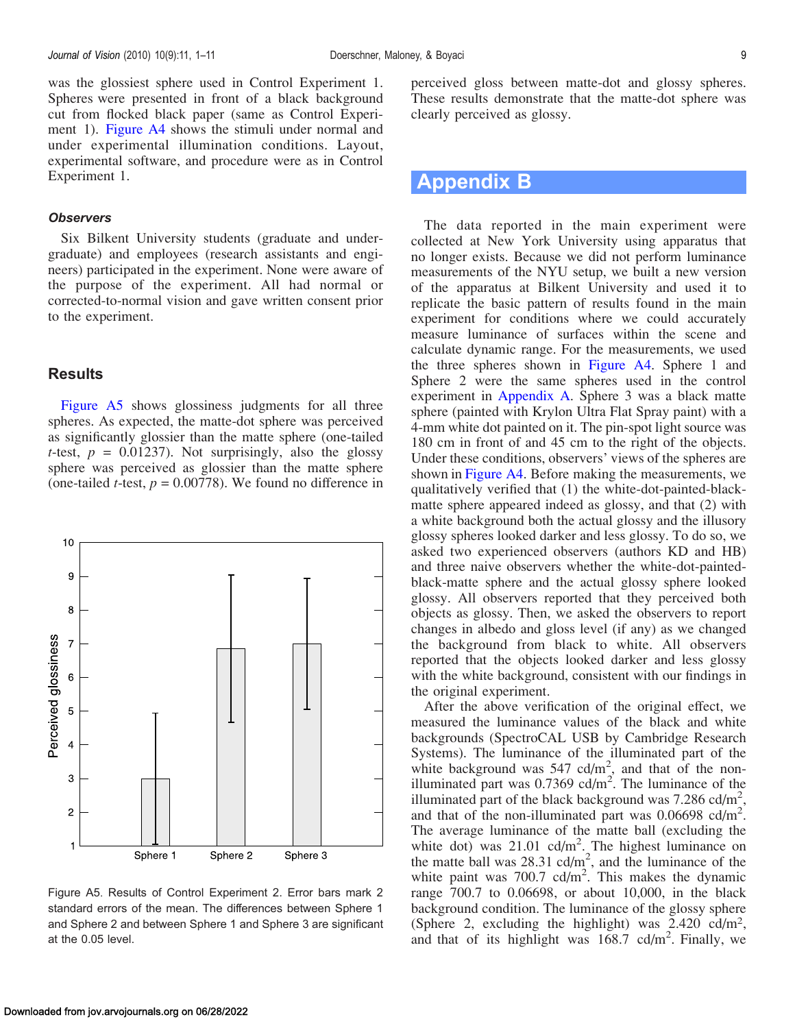was the glossiest sphere used in Control Experiment 1. Spheres were presented in front of a black background cut from flocked black paper (same as Control Experiment 1). [Figure A4](#page-7-0) shows the stimuli under normal and under experimental illumination conditions. Layout, experimental software, and procedure were as in Control Experiment 1.

#### **Observers**

Six Bilkent University students (graduate and undergraduate) and employees (research assistants and engineers) participated in the experiment. None were aware of the purpose of the experiment. All had normal or corrected-to-normal vision and gave written consent prior to the experiment.

#### Results

Figure A5 shows glossiness judgments for all three spheres. As expected, the matte-dot sphere was perceived as significantly glossier than the matte sphere (one-tailed t-test,  $p = 0.01237$ . Not surprisingly, also the glossy sphere was perceived as glossier than the matte sphere (one-tailed *t*-test,  $p = 0.00778$ ). We found no difference in



Figure A5. Results of Control Experiment 2. Error bars mark 2 standard errors of the mean. The differences between Sphere 1 and Sphere 2 and between Sphere 1 and Sphere 3 are significant at the 0.05 level.

perceived gloss between matte-dot and glossy spheres. These results demonstrate that the matte-dot sphere was clearly perceived as glossy.

#### Appendix B

The data reported in the main experiment were collected at New York University using apparatus that no longer exists. Because we did not perform luminance measurements of the NYU setup, we built a new version of the apparatus at Bilkent University and used it to replicate the basic pattern of results found in the main experiment for conditions where we could accurately measure luminance of surfaces within the scene and calculate dynamic range. For the measurements, we used the three spheres shown in [Figure A4.](#page-7-0) Sphere 1 and Sphere 2 were the same spheres used in the control experiment in [Appendix A](#page-5-0). Sphere 3 was a black matte sphere (painted with Krylon Ultra Flat Spray paint) with a 4-mm white dot painted on it. The pin-spot light source was 180 cm in front of and 45 cm to the right of the objects. Under these conditions, observers' views of the spheres are shown in [Figure A4](#page-7-0). Before making the measurements, we qualitatively verified that (1) the white-dot-painted-blackmatte sphere appeared indeed as glossy, and that (2) with a white background both the actual glossy and the illusory glossy spheres looked darker and less glossy. To do so, we asked two experienced observers (authors KD and HB) and three naive observers whether the white-dot-paintedblack-matte sphere and the actual glossy sphere looked glossy. All observers reported that they perceived both objects as glossy. Then, we asked the observers to report changes in albedo and gloss level (if any) as we changed the background from black to white. All observers reported that the objects looked darker and less glossy with the white background, consistent with our findings in the original experiment.

After the above verification of the original effect, we measured the luminance values of the black and white backgrounds (SpectroCAL USB by Cambridge Research Systems). The luminance of the illuminated part of the white background was  $547 \text{ cd/m}^2$ , and that of the nonilluminated part was  $0.7369$  cd/m<sup>2</sup>. The luminance of the illuminated part of the black background was 7.286 cd/m<sup>2</sup>, and that of the non-illuminated part was  $0.06698$  cd/m<sup>2</sup>. The average luminance of the matte ball (excluding the white dot) was  $21.01 \text{ cd/m}^2$ . The highest luminance on the matte ball was  $28.31$  cd/m<sup>2</sup>, and the luminance of the white paint was 700.7  $cd/m^2$ . This makes the dynamic range 700.7 to 0.06698, or about 10,000, in the black background condition. The luminance of the glossy sphere (Sphere 2, excluding the highlight) was  $2.420 \text{ cd/m}^2$ , and that of its highlight was  $168.7$  cd/m<sup>2</sup>. Finally, we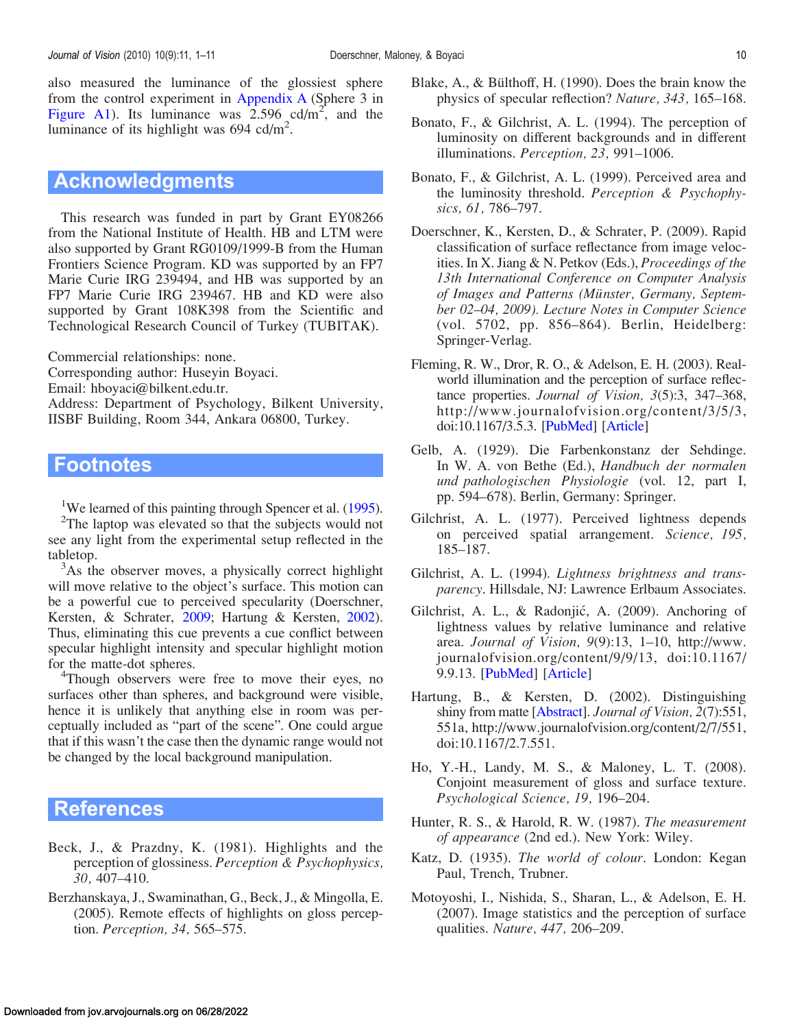<span id="page-9-0"></span>also measured the luminance of the glossiest sphere from the control experiment in [Appendix A](#page-5-0) (Sphere 3 in [Figure A1\)](#page-6-0). Its luminance was  $2.596$  cd/m<sup>2</sup>, and the luminance of its highlight was  $694 \text{ cd/m}^2$ .

## Acknowledgments

This research was funded in part by Grant EY08266 from the National Institute of Health. HB and LTM were also supported by Grant RG0109/1999-B from the Human Frontiers Science Program. KD was supported by an FP7 Marie Curie IRG 239494, and HB was supported by an FP7 Marie Curie IRG 239467. HB and KD were also supported by Grant 108K398 from the Scientific and Technological Research Council of Turkey (TUBITAK).

Commercial relationships: none.

Corresponding author: Huseyin Boyaci.

Email: hboyaci@bilkent.edu.tr.

Address: Department of Psychology, Bilkent University, IISBF Building, Room 344, Ankara 06800, Turkey.

## Footnotes

<sup>1</sup>We learned of this painting through Spencer et al. ([1995](#page-10-0)).

<sup>2</sup>The laptop was elevated so that the subjects would not see any light from the experimental setup reflected in the tabletop.

 $3$ As the observer moves, a physically correct highlight will move relative to the object's surface. This motion can be a powerful cue to perceived specularity (Doerschner, Kersten, & Schrater, 2009; Hartung & Kersten, 2002). Thus, eliminating this cue prevents a cue conflict between specular highlight intensity and specular highlight motion for the matte-dot spheres.

<sup>4</sup>Though observers were free to move their eyes, no surfaces other than spheres, and background were visible, hence it is unlikely that anything else in room was perceptually included as "part of the scene". One could argue that if this wasn't the case then the dynamic range would not be changed by the local background manipulation.

## References

- Beck, J., & Prazdny, K. (1981). Highlights and the perception of glossiness. Perception & Psychophysics, 30, 407–410.
- Berzhanskaya, J., Swaminathan, G., Beck, J., & Mingolla, E. (2005). Remote effects of highlights on gloss perception. Perception, 34, 565–575.
- Blake, A.,  $\&$  Bülthoff, H. (1990). Does the brain know the physics of specular reflection? Nature, 343, 165–168.
- Bonato, F., & Gilchrist, A. L. (1994). The perception of luminosity on different backgrounds and in different illuminations. Perception, 23, 991–1006.
- Bonato, F., & Gilchrist, A. L. (1999). Perceived area and the luminosity threshold. Perception & Psychophysics, 61, 786–797.
- Doerschner, K., Kersten, D., & Schrater, P. (2009). Rapid classification of surface reflectance from image velocities. In X. Jiang & N. Petkov (Eds.), Proceedings of the 13th International Conference on Computer Analysis of Images and Patterns (Münster, Germany, September 02–04, 2009). Lecture Notes in Computer Science (vol. 5702, pp. 856–864). Berlin, Heidelberg: Springer-Verlag.
- Fleming, R. W., Dror, R. O., & Adelson, E. H. (2003). Realworld illumination and the perception of surface reflectance properties. Journal of Vision, 3(5):3, 347–368, http://www.journalofvision.org/content/3/5/3, doi:10.1167/3.5.3. [[PubMed](http://www.ncbi.nlm.nih.gov/pubmed/12875632)] [\[Article](http://www.journalofvision.org/content/3/5/3)]
- Gelb, A. (1929). Die Farbenkonstanz der Sehdinge. In W. A. von Bethe (Ed.), Handbuch der normalen und pathologischen Physiologie (vol. 12, part I, pp. 594–678). Berlin, Germany: Springer.
- Gilchrist, A. L. (1977). Perceived lightness depends on perceived spatial arrangement. Science, 195, 185–187.
- Gilchrist, A. L. (1994). Lightness brightness and transparency. Hillsdale, NJ: Lawrence Erlbaum Associates.
- Gilchrist, A. L., & Radonjić, A. (2009). Anchoring of lightness values by relative luminance and relative area. Journal of Vision, 9(9):13, 1–10, http://www. journalofvision.org/content/9/9/13, doi:10.1167/ 9.9.13. [[PubMed\]](http://www.ncbi.nlm.nih.gov/pubmed/19761346) [[Article](http://www.journalofvision.org/content/9/9/13)]
- Hartung, B., & Kersten, D. (2002). Distinguishing shiny from matte [\[Abstract\]](http://www.journalofvision.org/content/2/7/551). Journal of Vision, 2(7):551, 551a, http://www.journalofvision.org/content/2/7/551, doi:10.1167/2.7.551.
- Ho, Y.-H., Landy, M. S., & Maloney, L. T. (2008). Conjoint measurement of gloss and surface texture. Psychological Science, 19, 196–204.
- Hunter, R. S., & Harold, R. W. (1987). The measurement of appearance (2nd ed.). New York: Wiley.
- Katz, D. (1935). The world of colour. London: Kegan Paul, Trench, Trubner.
- Motoyoshi, I., Nishida, S., Sharan, L., & Adelson, E. H. (2007). Image statistics and the perception of surface qualities. Nature, 447, 206–209.